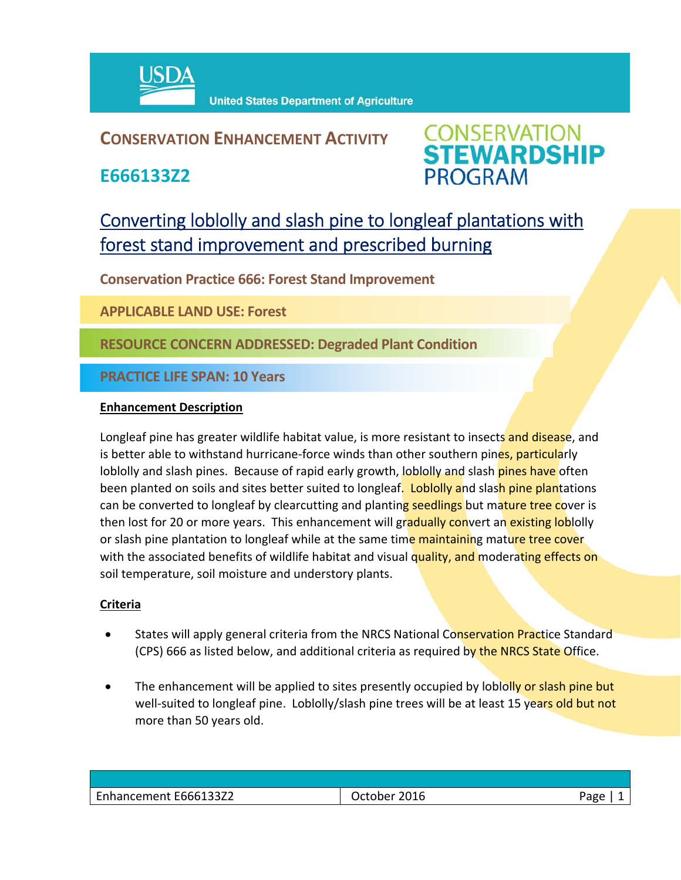

## **CONSERVATION ENHANCEMENT ACTIVITY**

**E666133Z2**



# Converting loblolly and slash pine to longleaf plantations with forest stand improvement and prescribed burning

**Conservation Practice 666: Forest Stand Improvement**

**APPLICABLE LAND USE: Forest**

**RESOURCE CONCERN ADDRESSED: Degraded Plant Condition**

**PRACTICE LIFE SPAN: 10 Years**

#### **Enhancement Description**

Longleaf pine has greater wildlife habitat value, is more resistant to insects and disease, and is better able to withstand hurricane-force winds than other southern pines, particularly loblolly and slash pines. Because of rapid early growth, loblolly and slash pines have often been planted on soils and sites better suited to longleaf. Loblolly and slash pine plantations can be converted to longleaf by clearcutting and planting seedlings but mature tree cover is then lost for 20 or more years. This enhancement will gradually convert an existing loblolly or slash pine plantation to longleaf while at the same time maintaining mature tree cover with the associated benefits of wildlife habitat and visual quality, and moderating effects on soil temperature, soil moisture and understory plants.

### **Criteria**

- States will apply general criteria from the NRCS National Conservation Practice Standard (CPS) 666 as listed below, and additional criteria as required by the NRCS State Office.
- The enhancement will be applied to sites presently occupied by loblolly or slash pine but well-suited to longleaf pine. Loblolly/slash pine trees will be at least 15 years old but not more than 50 years old.

| Enhancement E666133Z2 | 2016<br><b>October</b> | Page |
|-----------------------|------------------------|------|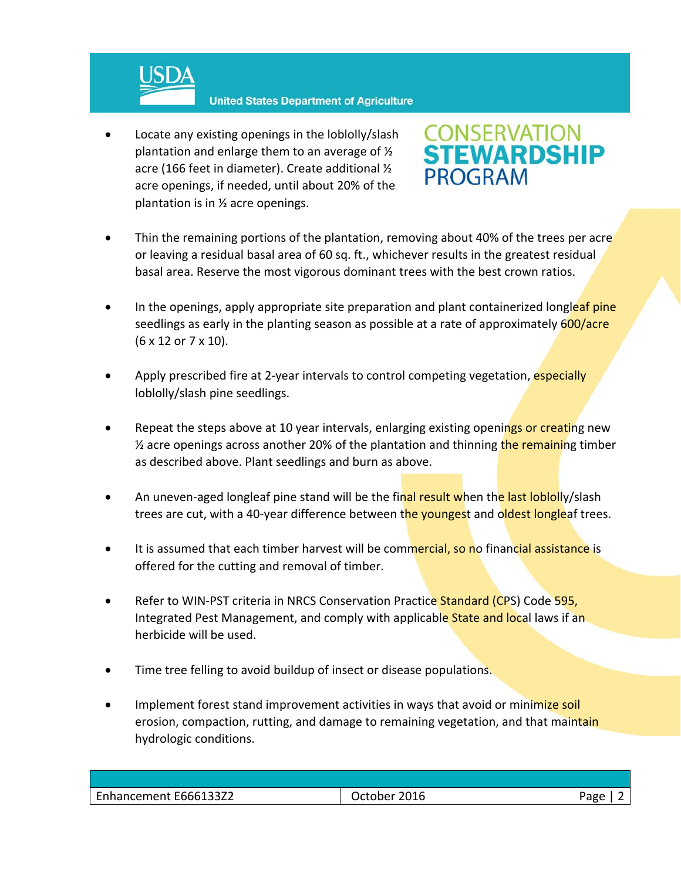

 Locate any existing openings in the loblolly/slash plantation and enlarge them to an average of ½ acre (166 feet in diameter). Create additional ½ acre openings, if needed, until about 20% of the plantation is in ½ acre openings.



- Thin the remaining portions of the plantation, removing about 40% of the trees per acre or leaving a residual basal area of 60 sq. ft., whichever results in the greatest residual basal area. Reserve the most vigorous dominant trees with the best crown ratios.
- In the openings, apply appropriate site preparation and plant containerized longleaf pine seedlings as early in the planting season as possible at a rate of approximately 600/acre (6 x 12 or 7 x 10).
- Apply prescribed fire at 2-year intervals to control competing vegetation, especially loblolly/slash pine seedlings.
- Repeat the steps above at 10 year intervals, enlarging existing openings or creating new  $\frac{1}{2}$  acre openings across another 20% of the plantation and thinning the remaining timber as described above. Plant seedlings and burn as above.
- An uneven-aged longleaf pine stand will be the final result when the last loblolly/slash trees are cut, with a 40-year difference between the youngest and oldest longleaf trees.
- It is assumed that each timber harvest will be commercial, so no financial assistance is offered for the cutting and removal of timber.
- Refer to WIN-PST criteria in NRCS Conservation Practice Standard (CPS) Code 595, Integrated Pest Management, and comply with applicable State and local laws if an herbicide will be used.
- Time tree felling to avoid buildup of insect or disease populations.
- Implement forest stand improvement activities in ways that avoid or minimize soil erosion, compaction, rutting, and damage to remaining vegetation, and that maintain hydrologic conditions.

| Enhancement E666133Z2 | 2016<br>October | Jage |
|-----------------------|-----------------|------|
|                       |                 |      |